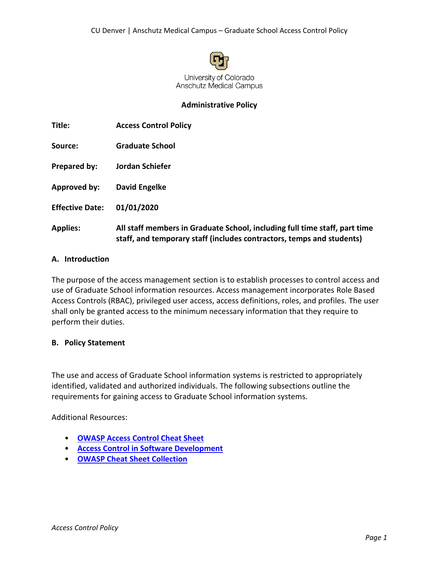

#### **Administrative Policy**

| Title:                 | <b>Access Control Policy</b>                                                                                                                        |
|------------------------|-----------------------------------------------------------------------------------------------------------------------------------------------------|
| Source:                | <b>Graduate School</b>                                                                                                                              |
| Prepared by:           | Jordan Schiefer                                                                                                                                     |
| Approved by:           | David Engelke                                                                                                                                       |
| <b>Effective Date:</b> | 01/01/2020                                                                                                                                          |
| <b>Applies:</b>        | All staff members in Graduate School, including full time staff, part time<br>staff, and temporary staff (includes contractors, temps and students) |

#### **A. Introduction**

The purpose of the access management section is to establish processes to control access and use of Graduate School information resources. Access management incorporates Role Based Access Controls (RBAC), privileged user access, access definitions, roles, and profiles. The user shall only be granted access to the minimum necessary information that they require to perform their duties.

#### **B. Policy Statement**

The use and access of Graduate School information systems is restricted to appropriately identified, validated and authorized individuals. The following subsections outline the requirements for gaining access to Graduate School information systems.

Additional Resources:

- **[OWASP Access Control Cheat Sheet](https://github.com/OWASP/CheatSheetSeries/blob/master/cheatsheets/Access_Control_Cheat_Sheet.md)**
- **[Access Control in Software Development](https://www.owasp.org/index.php/Category:Access_Control)**
- **[OWASP Cheat Sheet Collection](https://github.com/OWASP/CheatSheetSeries)**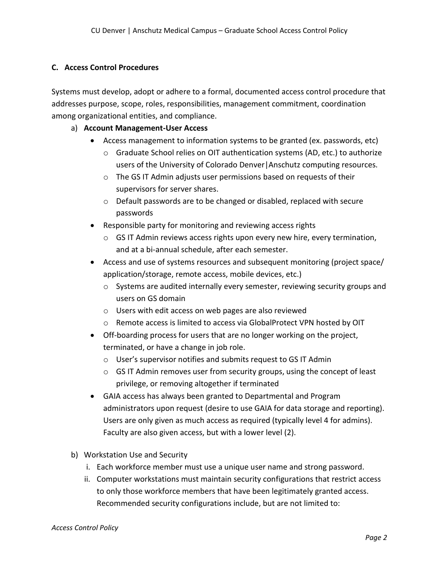### **C. Access Control Procedures**

Systems must develop, adopt or adhere to a formal, documented access control procedure that addresses purpose, scope, roles, responsibilities, management commitment, coordination among organizational entities, and compliance.

## a) **Account Management-User Access**

- Access management to information systems to be granted (ex. passwords, etc)
	- $\circ$  Graduate School relies on OIT authentication systems (AD, etc.) to authorize users of the University of Colorado Denver|Anschutz computing resources.
	- o The GS IT Admin adjusts user permissions based on requests of their supervisors for server shares.
	- o Default passwords are to be changed or disabled, replaced with secure passwords
- Responsible party for monitoring and reviewing access rights
	- $\circ$  GS IT Admin reviews access rights upon every new hire, every termination, and at a bi-annual schedule, after each semester.
- Access and use of systems resources and subsequent monitoring (project space/ application/storage, remote access, mobile devices, etc.)
	- o Systems are audited internally every semester, reviewing security groups and users on GS domain
	- o Users with edit access on web pages are also reviewed
	- o Remote access is limited to access via GlobalProtect VPN hosted by OIT
- Off-boarding process for users that are no longer working on the project, terminated, or have a change in job role.
	- o User's supervisor notifies and submits request to GS IT Admin
	- $\circ$  GS IT Admin removes user from security groups, using the concept of least privilege, or removing altogether if terminated
- GAIA access has always been granted to Departmental and Program administrators upon request (desire to use GAIA for data storage and reporting). Users are only given as much access as required (typically level 4 for admins). Faculty are also given access, but with a lower level (2).
- b) Workstation Use and Security
	- i. Each workforce member must use a unique user name and strong password.
	- ii. Computer workstations must maintain security configurations that restrict access to only those workforce members that have been legitimately granted access. Recommended security configurations include, but are not limited to: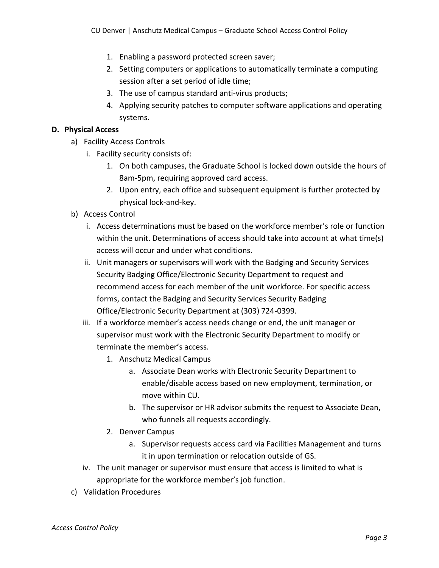- 1. Enabling a password protected screen saver;
- 2. Setting computers or applications to automatically terminate a computing session after a set period of idle time;
- 3. The use of campus standard anti-virus products;
- 4. Applying security patches to computer software applications and operating systems.

## **D. Physical Access**

- a) Facility Access Controls
	- i. Facility security consists of:
		- 1. On both campuses, the Graduate School is locked down outside the hours of 8am-5pm, requiring approved card access.
		- 2. Upon entry, each office and subsequent equipment is further protected by physical lock-and-key.
- b) Access Control
	- i. Access determinations must be based on the workforce member's role or function within the unit. Determinations of access should take into account at what time(s) access will occur and under what conditions.
	- ii. Unit managers or supervisors will work with the Badging and Security Services Security Badging Office/Electronic Security Department to request and recommend access for each member of the unit workforce. For specific access forms, contact the Badging and Security Services Security Badging Office/Electronic Security Department at (303) 724-0399.
	- iii. If a workforce member's access needs change or end, the unit manager or supervisor must work with the Electronic Security Department to modify or terminate the member's access.
		- 1. Anschutz Medical Campus
			- a. Associate Dean works with Electronic Security Department to enable/disable access based on new employment, termination, or move within CU.
			- b. The supervisor or HR advisor submits the request to Associate Dean, who funnels all requests accordingly.
		- 2. Denver Campus
			- a. Supervisor requests access card via Facilities Management and turns it in upon termination or relocation outside of GS.
	- iv. The unit manager or supervisor must ensure that access is limited to what is appropriate for the workforce member's job function.
- c) Validation Procedures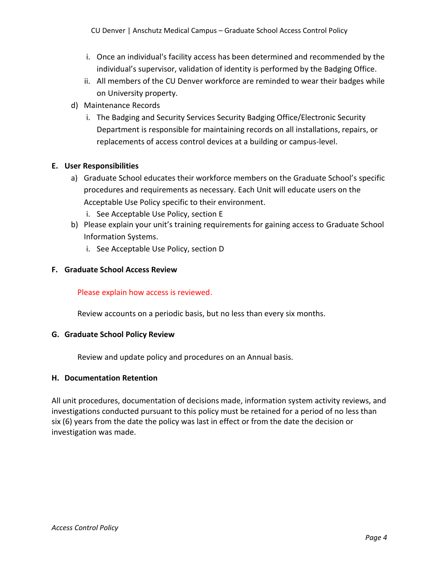- i. Once an individual's facility access has been determined and recommended by the individual's supervisor, validation of identity is performed by the Badging Office.
- ii. All members of the CU Denver workforce are reminded to wear their badges while on University property.
- d) Maintenance Records
	- i. The Badging and Security Services Security Badging Office/Electronic Security Department is responsible for maintaining records on all installations, repairs, or replacements of access control devices at a building or campus-level.

# **E. User Responsibilities**

- a) Graduate School educates their workforce members on the Graduate School's specific procedures and requirements as necessary. Each Unit will educate users on the Acceptable Use Policy specific to their environment.
	- i. See Acceptable Use Policy, section E
- b) Please explain your unit's training requirements for gaining access to Graduate School Information Systems.
	- i. See Acceptable Use Policy, section D

### **F. Graduate School Access Review**

### Please explain how access is reviewed.

Review accounts on a periodic basis, but no less than every six months.

### **G. Graduate School Policy Review**

Review and update policy and procedures on an Annual basis.

### **H. Documentation Retention**

All unit procedures, documentation of decisions made, information system activity reviews, and investigations conducted pursuant to this policy must be retained for a period of no less than six (6) years from the date the policy was last in effect or from the date the decision or investigation was made.